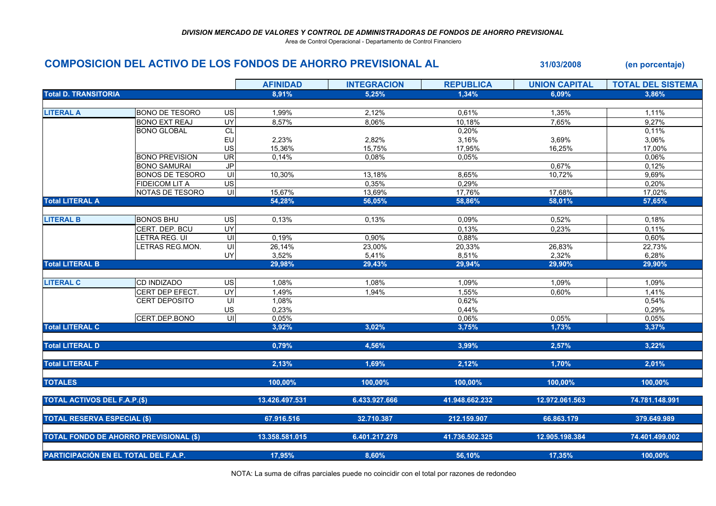Área de Control Operacional - Departamento de Control Financiero

## **COMPOSICION DEL ACTIVO DE LOS FONDOS DE AHORRO PREVISIONAL AL 31/03/2008 (en porcentaje)**

|                                               |                        |                          | <b>AFINIDAD</b> | <b>INTEGRACION</b> | <b>REPUBLICA</b> | <b>UNION CAPITAL</b> | <b>TOTAL DEL SISTEMA</b> |
|-----------------------------------------------|------------------------|--------------------------|-----------------|--------------------|------------------|----------------------|--------------------------|
| <b>Total D. TRANSITORIA</b>                   |                        |                          | 8,91%           | 5,25%              | 1,34%            | 6,09%                | 3,86%                    |
|                                               |                        |                          |                 |                    |                  |                      |                          |
| <b>LITERAL A</b>                              | <b>BONO DE TESORO</b>  | US                       | 1,99%           | 2,12%              | 0,61%            | 1,35%                | 1,11%                    |
|                                               | <b>BONO EXT REAJ</b>   | UY                       | 8,57%           | 8,06%              | 10,18%           | 7,65%                | 9,27%                    |
|                                               | <b>BONO GLOBAL</b>     | $\overline{CL}$          |                 |                    | 0,20%            |                      | 0,11%                    |
|                                               |                        | EU                       | 2,23%           | 2,82%              | 3,16%            | 3,69%                | 3,06%                    |
|                                               |                        | US                       | 15,36%          | 15,75%             | 17,95%           | 16,25%               | 17,00%                   |
|                                               | <b>BONO PREVISION</b>  | $\overline{\mathsf{UR}}$ | 0,14%           | 0.08%              | 0.05%            |                      | 0,06%                    |
|                                               | <b>BONO SAMURAI</b>    | $\overline{J}P$          |                 |                    |                  | 0,67%                | 0,12%                    |
|                                               | <b>BONOS DE TESORO</b> | UI                       | 10,30%          | 13,18%             | 8,65%            | 10,72%               | 9,69%                    |
|                                               | <b>FIDEICOM LIT A</b>  | $\overline{US}$          |                 | 0,35%              | 0,29%            |                      | 0,20%                    |
|                                               | NOTAS DE TESORO        | UI                       | 15,67%          | 13,69%             | 17,76%           | 17,68%               | 17,02%                   |
| <b>Total LITERAL A</b>                        |                        |                          | 54,28%          | 56,05%             | 58,86%           | 58,01%               | 57,65%                   |
|                                               |                        |                          |                 |                    |                  |                      |                          |
| <b>LITERAL B</b>                              | <b>BONOS BHU</b>       | US                       | 0,13%           | 0,13%              | 0,09%            | 0,52%                | 0,18%                    |
|                                               | CERT. DEP. BCU         | UY                       |                 |                    | 0.13%            | 0,23%                | 0.11%                    |
|                                               | LETRA REG. UI          | $\overline{U}$           | 0,19%           | 0,90%              | 0,88%            |                      | 0,60%                    |
|                                               | LETRAS REG.MON.        | $\overline{\mathsf{U}}$  | 26,14%          | 23,00%             | 20,33%           | 26,83%               | 22,73%                   |
|                                               |                        | UY                       | 3,52%           | 5,41%              | 8,51%            | 2,32%                | 6,28%                    |
| <b>Total LITERAL B</b>                        |                        |                          | 29,98%          | 29,43%             | 29,94%           | 29,90%               | 29,90%                   |
|                                               |                        |                          |                 |                    |                  |                      |                          |
| <b>LITERAL C</b>                              | <b>CD INDIZADO</b>     | <b>US</b>                | 1,08%           | 1,08%              | 1,09%            | 1,09%                | 1,09%                    |
|                                               | CERT DEP EFECT.        | $\overline{UY}$          | 1,49%           | 1,94%              | 1,55%            | 0,60%                | 1,41%                    |
|                                               | <b>CERT DEPOSITO</b>   | $\overline{\mathsf{U}}$  | 1,08%           |                    | 0,62%            |                      | 0,54%                    |
|                                               |                        | US                       | 0,23%           |                    | 0,44%            |                      | 0,29%                    |
|                                               | CERT.DEP.BONO          | $\overline{\mathsf{U}}$  | 0,05%           |                    | 0.06%            | 0.05%                | 0,05%                    |
| <b>Total LITERAL C</b>                        |                        |                          | 3,92%           | 3,02%              | 3,75%            | 1,73%                | 3,37%                    |
|                                               |                        |                          |                 |                    |                  |                      |                          |
| <b>Total LITERAL D</b>                        |                        |                          | 0,79%           | 4,56%              | 3,99%            | 2,57%                | 3,22%                    |
|                                               |                        |                          |                 |                    |                  |                      |                          |
| <b>Total LITERAL F</b>                        |                        |                          | 2,13%           | 1,69%              | 2,12%            | 1,70%                | 2,01%                    |
| <b>TOTALES</b>                                |                        |                          | 100,00%         | 100,00%            | 100,00%          | 100,00%              | 100,00%                  |
|                                               |                        |                          |                 |                    |                  |                      |                          |
| <b>TOTAL ACTIVOS DEL F.A.P.(\$)</b>           |                        |                          | 13.426.497.531  | 6.433.927.666      | 41.948.662.232   | 12.972.061.563       | 74.781.148.991           |
|                                               |                        |                          |                 |                    |                  |                      |                          |
| <b>TOTAL RESERVA ESPECIAL (\$)</b>            |                        |                          | 67.916.516      | 32.710.387         | 212.159.907      | 66.863.179           | 379.649.989              |
|                                               |                        |                          |                 |                    |                  |                      |                          |
| <b>TOTAL FONDO DE AHORRO PREVISIONAL (\$)</b> |                        |                          | 13.358.581.015  | 6.401.217.278      | 41.736.502.325   | 12.905.198.384       | 74.401.499.002           |
|                                               |                        |                          |                 |                    |                  |                      |                          |
| PARTICIPACIÓN EN EL TOTAL DEL F.A.P.          |                        |                          | 17,95%          | 8,60%              | 56,10%           | 17,35%               | 100,00%                  |

NOTA: La suma de cifras parciales puede no coincidir con el total por razones de redondeo